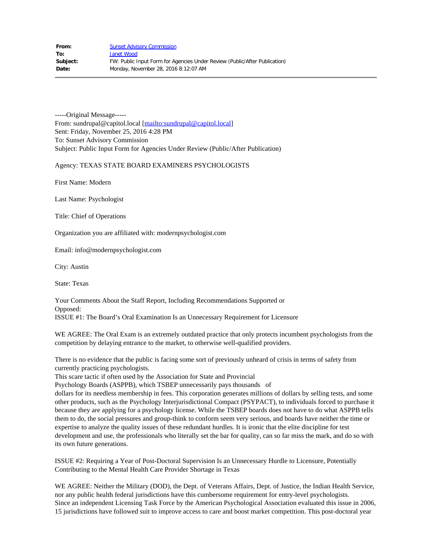-----Original Message---- From: sundrupal@capitol.local [\[mailto:sundrupal@capitol.local](mailto:sundrupal@capitol.local)] Sent: Friday, November 25, 2016 4:28 PM To: Sunset Advisory Commission Subject: Public Input Form for Agencies Under Review (Public/After Publication)

## Agency: TEXAS STATE BOARD EXAMINERS PSYCHOLOGISTS

First Name: Modern

Last Name: Psychologist

Title: Chief of Operations

Organization you are affiliated with: modernpsychologist.com

Email: info@modernpsychologist.com

City: Austin

State: Texas

Your Comments About the Staff Report, Including Recommendations Supported or Opposed: ISSUE #1: The Board's Oral Examination Is an Unnecessary Requirement for Licensure

WE AGREE: The Oral Exam is an extremely outdated practice that only protects incumbent psychologists from the competition by delaying entrance to the market, to otherwise well-qualified providers.

There is no evidence that the public is facing some sort of previously unheard of crisis in terms of safety from currently practicing psychologists.

This scare tactic if often used by the Association for State and Provincial

Psychology Boards (ASPPB), which TSBEP unnecessarily pays thousands of

dollars for its needless membership in fees. This corporation generates millions of dollars by selling tests, and some other products, such as the Psychology Interjurisdictional Compact (PSYPACT), to individuals forced to purchase it because they are applying for a psychology license. While the TSBEP boards does not have to do what ASPPB tells them to do, the social pressures and group-think to conform seem very serious, and boards have neither the time or expertise to analyze the quality issues of these redundant hurdles. It is ironic that the elite discipline for test development and use, the professionals who literally set the bar for quality, can so far miss the mark, and do so with its own future generations.

ISSUE #2: Requiring a Year of Post-Doctoral Supervision Is an Unnecessary Hurdle to Licensure, Potentially Contributing to the Mental Health Care Provider Shortage in Texas

WE AGREE: Neither the Military (DOD), the Dept. of Veterans Affairs, Dept. of Justice, the Indian Health Service, nor any public health federal jurisdictions have this cumbersome requirement for entry-level psychologists. Since an independent Licensing Task Force by the American Psychological Association evaluated this issue in 2006, 15 jurisdictions have followed suit to improve access to care and boost market competition. This post-doctoral year